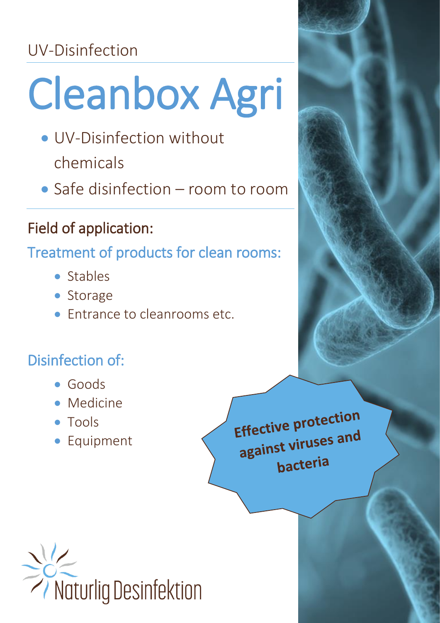# UV-Disinfection

# Cleanbox Agri

- UV-Disinfection without chemicals
- Safe disinfection room to room

# Field of application:

Treatment of products for clean rooms:

- Stables
- Storage
- Entrance to cleanrooms etc.

# Disinfection of:

- Goods
- Medicine
- Tools
- Equipment

Effective protection Effective proces and<br>against viruses and bacteria